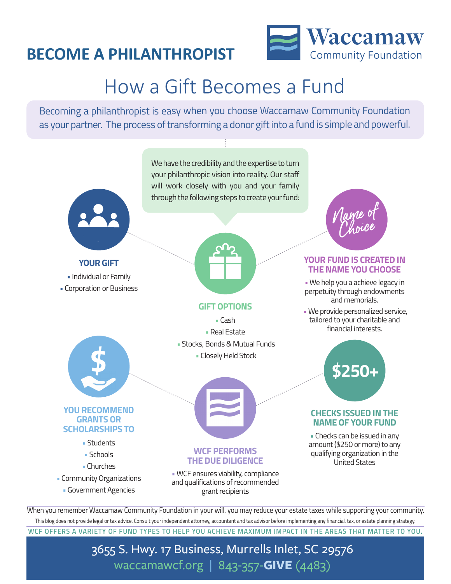### **BECOME A PHILANTHROPIST**



# How a Gift Becomes a Fund

Becoming a philanthropist is easy when you choose Waccamaw Community Foundation as your partner. The process of transforming a donor gift into a fund is simple and powerful.



When you remember Waccamaw Community Foundation in your will, you may reduce your estate taxes while supporting your community. This blog does not provide legal or tax advice. Consult your independent attorney, accountant and tax advisor before implementing any financial, tax, or estate planning strategy.

#### **WCF OFFERS A VARIETY OF FUND TYPES TO HELP YOU ACHIEVE MAXIMUM IMPACT IN THE AREAS THAT MATTER TO YOU.**

### 3655 S. Hwy. 17 Business, Murrells Inlet, SC 29576 waccamawcf.org | 843-357-**GIVE** (4483)